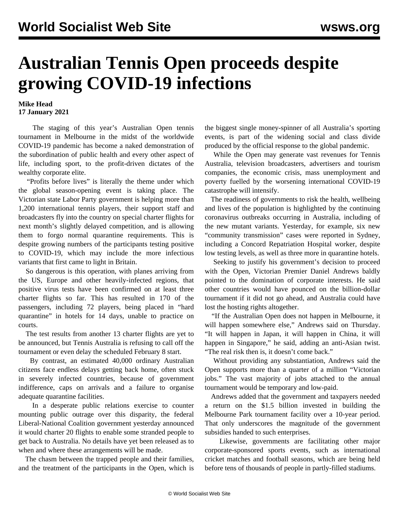## **Australian Tennis Open proceeds despite growing COVID-19 infections**

## **Mike Head 17 January 2021**

 The staging of this year's Australian Open tennis tournament in Melbourne in the midst of the worldwide COVID-19 pandemic has become a naked demonstration of the subordination of public health and every other aspect of life, including sport, to the profit-driven dictates of the wealthy corporate elite.

 "Profits before lives" is literally the theme under which the global season-opening event is taking place. The Victorian state Labor Party government is helping more than 1,200 international tennis players, their support staff and broadcasters fly into the country on special charter flights for next month's slightly delayed competition, and is allowing them to forgo normal quarantine requirements. This is despite growing numbers of the participants testing positive to COVID-19, which may include the more infectious variants that first came to light in Britain.

 So dangerous is this operation, with planes arriving from the US, Europe and other heavily-infected regions, that positive virus tests have been confirmed on at least three charter flights so far. This has resulted in 170 of the passengers, including 72 players, being placed in "hard quarantine" in hotels for 14 days, unable to practice on courts.

 The test results from another 13 charter flights are yet to be announced, but Tennis Australia is refusing to call off the tournament or even delay the scheduled February 8 start.

 By contrast, an estimated 40,000 ordinary Australian citizens face endless delays getting back home, often stuck in severely infected countries, because of government indifference, caps on arrivals and a failure to organise adequate quarantine facilities.

 In a desperate public relations exercise to counter mounting public outrage over this disparity, the federal Liberal-National Coalition government yesterday announced it would charter 20 flights to enable some stranded people to get back to Australia. No details have yet been released as to when and where these arrangements will be made.

 The chasm between the trapped people and their families, and the treatment of the participants in the Open, which is the biggest single money-spinner of all Australia's sporting events, is part of the widening social and class divide produced by the official response to the global pandemic.

 While the Open may generate vast revenues for Tennis Australia, television broadcasters, advertisers and tourism companies, the economic crisis, mass unemployment and poverty fuelled by the worsening international COVID-19 catastrophe will intensify.

 The readiness of governments to risk the health, wellbeing and lives of the population is highlighted by the continuing coronavirus outbreaks occurring in Australia, including of the new mutant variants. Yesterday, for example, six new "community transmission" cases were reported in Sydney, including a Concord Repatriation Hospital worker, despite low testing levels, as well as three more in quarantine hotels.

 Seeking to justify his government's decision to proceed with the Open, Victorian Premier Daniel Andrews baldly pointed to the domination of corporate interests. He said other countries would have pounced on the billion-dollar tournament if it did not go ahead, and Australia could have lost the hosting rights altogether.

 "If the Australian Open does not happen in Melbourne, it will happen somewhere else," Andrews said on Thursday. "It will happen in Japan, it will happen in China, it will happen in Singapore," he said, adding an anti-Asian twist. "The real risk then is, it doesn't come back."

 Without providing any substantiation, Andrews said the Open supports more than a quarter of a million "Victorian jobs." The vast majority of jobs attached to the annual tournament would be temporary and low-paid.

 Andrews added that the government and taxpayers needed a return on the \$1.5 billion invested in building the Melbourne Park tournament facility over a 10-year period. That only underscores the magnitude of the government subsidies handed to such enterprises.

 Likewise, governments are facilitating other major corporate-sponsored sports events, such as international cricket matches and football seasons, which are being held before tens of thousands of people in partly-filled stadiums.